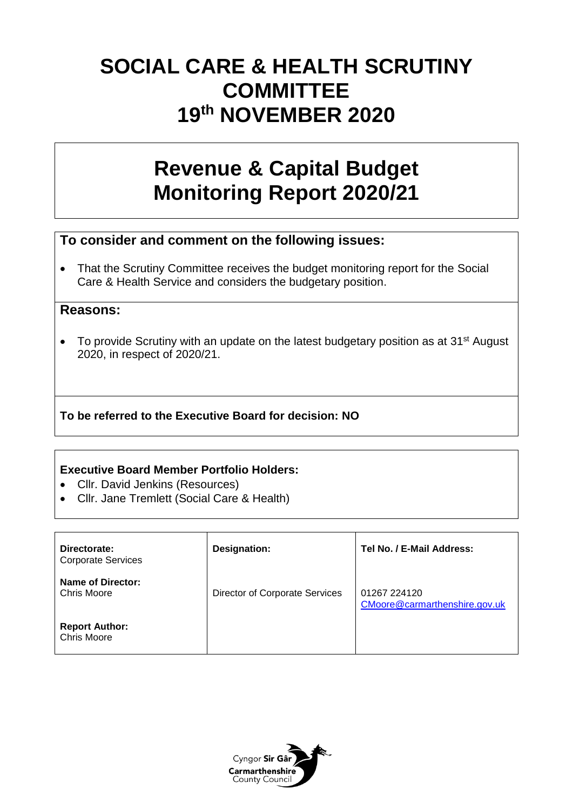# **SOCIAL CARE & HEALTH SCRUTINY COMMITTEE 19th NOVEMBER 2020**

# **Revenue & Capital Budget Monitoring Report 2020/21**

## **To consider and comment on the following issues:**

• That the Scrutiny Committee receives the budget monitoring report for the Social Care & Health Service and considers the budgetary position.

### **Reasons:**

• To provide Scrutiny with an update on the latest budgetary position as at 31<sup>st</sup> August 2020, in respect of 2020/21.

## **To be referred to the Executive Board for decision: NO**

### **Executive Board Member Portfolio Holders:**

- Cllr. David Jenkins (Resources)
- Cllr. Jane Tremlett (Social Care & Health)

| Directorate:<br><b>Corporate Services</b> | Designation:                   | Tel No. / E-Mail Address:                     |
|-------------------------------------------|--------------------------------|-----------------------------------------------|
| Name of Director:<br>Chris Moore          | Director of Corporate Services | 01267 224120<br>CMoore@carmarthenshire.gov.uk |
| <b>Report Author:</b><br>Chris Moore      |                                |                                               |

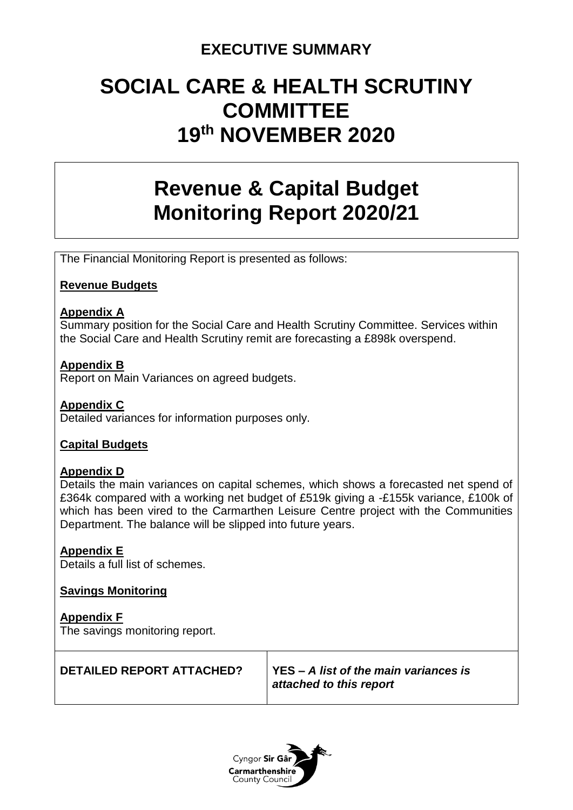## **EXECUTIVE SUMMARY**

# **SOCIAL CARE & HEALTH SCRUTINY COMMITTEE 19th NOVEMBER 2020**

# **Revenue & Capital Budget Monitoring Report 2020/21**

The Financial Monitoring Report is presented as follows:

### **Revenue Budgets**

#### **Appendix A**

Summary position for the Social Care and Health Scrutiny Committee. Services within the Social Care and Health Scrutiny remit are forecasting a £898k overspend.

### **Appendix B**

Report on Main Variances on agreed budgets.

### **Appendix C**

Detailed variances for information purposes only.

### **Capital Budgets**

#### **Appendix D**

Details the main variances on capital schemes, which shows a forecasted net spend of £364k compared with a working net budget of £519k giving a -£155k variance, £100k of which has been vired to the Carmarthen Leisure Centre project with the Communities Department. The balance will be slipped into future years.

### **Appendix E**

Details a full list of schemes.

#### **Savings Monitoring**

**Appendix F** The savings monitoring report.

| <b>DETAILED REPORT ATTACHED?</b> | YES – A list of the main variances is<br>attached to this report |
|----------------------------------|------------------------------------------------------------------|
|                                  |                                                                  |